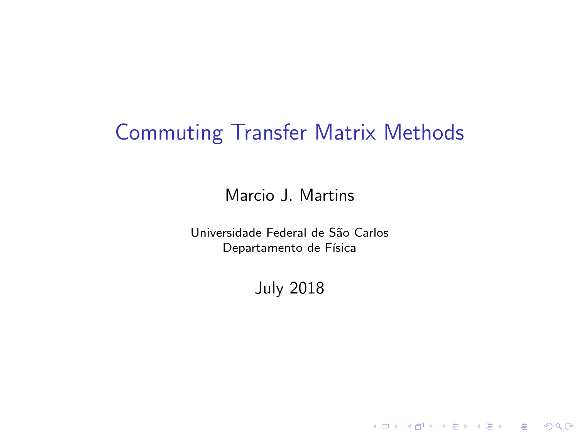# Commuting Transfer Matrix Methods

Marcio J. Martins

<span id="page-0-0"></span>Universidade Federal de São Carlos Departamento de Física

July 2018

KO KKOK KEK KEK LE I KORO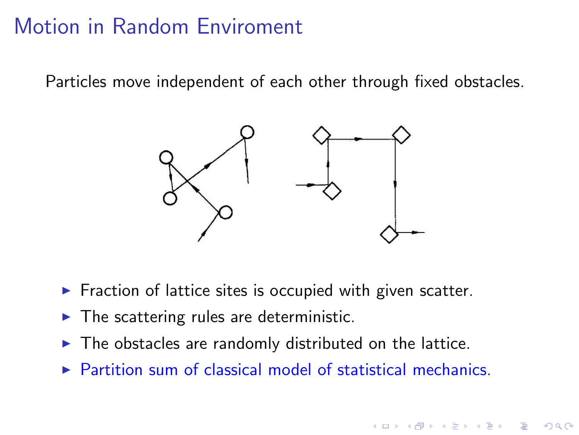## Motion in Random Enviroment

Particles move independent of each other through fixed obstacles.



- $\triangleright$  Fraction of lattice sites is occupied with given scatter.
- $\blacktriangleright$  The scattering rules are deterministic.
- $\blacktriangleright$  The obstacles are randomly distributed on the lattice.
- $\triangleright$  Partition sum of classical model of statistical mechanics.

**KORK ERKER ADE YOUR**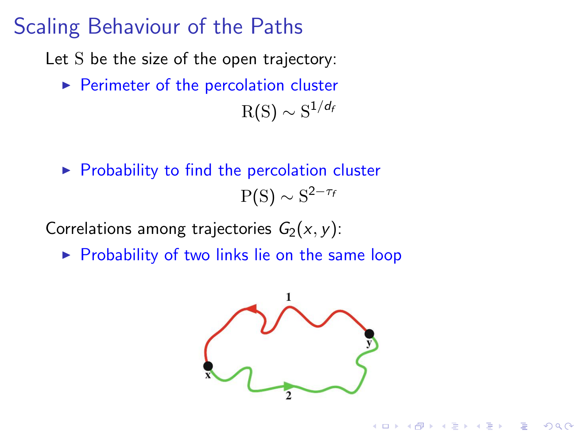### Scaling Behaviour of the Paths

Let S be the size of the open trajectory:

- $\blacktriangleright$  Perimeter of the percolation cluster  ${\rm R(S)}\sim {\rm S}^{1/d_t}$
- $\triangleright$  Probability to find the percolation cluster  $P(S) \sim S^{2-\tau_t}$

Correlations among trajectories  $G_2(x, y)$ :

 $\triangleright$  Probability of two links lie on the same loop



 $\mathbf{A} \equiv \mathbf{A} + \mathbf{B} + \mathbf{A} + \mathbf{B} + \mathbf{A} + \mathbf{B} + \mathbf{A} + \mathbf{B} + \mathbf{A} + \mathbf{B} + \mathbf{A} + \mathbf{B} + \mathbf{A} + \mathbf{B} + \mathbf{A} + \mathbf{B} + \mathbf{A} + \mathbf{B} + \mathbf{A} + \mathbf{B} + \mathbf{A} + \mathbf{B} + \mathbf{A} + \mathbf{B} + \mathbf{A} + \mathbf{B} + \mathbf{A} + \mathbf{B} + \mathbf{A} + \mathbf{B} + \math$ 

 $2Q$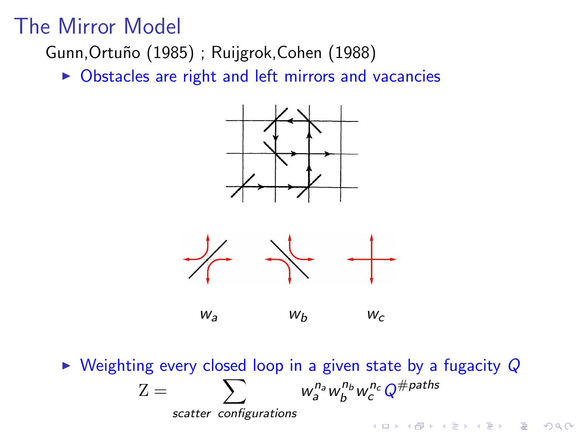### The Mirror Model

Gunn, Ortuño (1985); Ruijgrok, Cohen (1988)

 $\triangleright$  Obstacles are right and left mirrors and vacancies





 $w_a$   $w_b$   $w_c$ 

 $\triangleright$  Weighting every closed loop in a given state by a fugacity  $Q$  $\sum$  $w_{a}^{n_a}w_{b}^{n_b}w_{c}^{n_c}Q^{\# paths}$  $Z =$ scatter configurations **KORK ERKER ADE YOUR**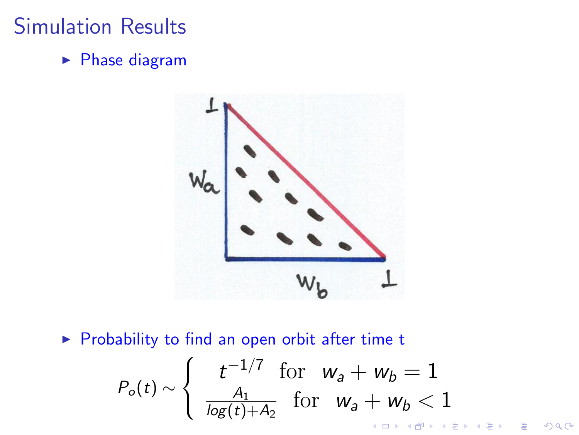## Simulation Results

 $\blacktriangleright$  Phase diagram



<span id="page-4-0"></span> $\triangleright$  Probability to find an open orbit after time t

$$
P_o(t) \sim \begin{cases} t^{-1/7} & \text{for } \ w_a + w_b = 1\\ \frac{A_1}{\log(t) + A_2} & \text{for } \ w_a + w_b < 1 \end{cases}
$$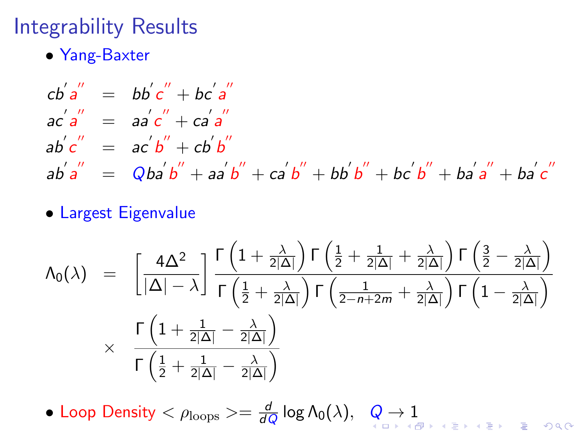## Integrability Results

• Yang-Baxter

$$
cb'a'' = bb'c'' + bc'a''
$$
  
\n
$$
ac'a'' = aa'c'' + ca'a''
$$
  
\n
$$
ab'c'' = ac'b'' + cb'b''
$$
  
\n
$$
ab'a'' = Qba'b'' + aa'b'' + ca'b'' + bb'b'' + bc'b'' + ba'a'' + ba'c''
$$

#### • Largest Eigenvalue

$$
\begin{array}{lcl} \Lambda_0 (\lambda) & = & \left[ \frac{4 \Delta^2}{|\Delta| - \lambda} \right] \frac{\Gamma \left( 1 + \frac{\lambda}{2|\Delta|} \right) \Gamma \left( \frac{1}{2} + \frac{1}{2|\Delta|} + \frac{\lambda}{2|\Delta|} \right) \Gamma \left( \frac{3}{2} - \frac{\lambda}{2|\Delta|} \right) }{\Gamma \left( \frac{1}{2} + \frac{\lambda}{2|\Delta|} \right) \Gamma \left( \frac{1}{2 - n + 2m} + \frac{\lambda}{2|\Delta|} \right) \Gamma \left( 1 - \frac{\lambda}{2|\Delta|} \right)} \\ & \times & \frac{\Gamma \left( 1 + \frac{1}{2|\Delta|} - \frac{\lambda}{2|\Delta|} \right)}{\Gamma \left( \frac{1}{2} + \frac{1}{2|\Delta|} - \frac{\lambda}{2|\Delta|} \right)} \end{array}
$$

<span id="page-5-0"></span>• Loop Density  $<\rho_{\text{loops}}>=\frac{d}{d\theta}$  $\frac{d}{dQ}\log\Lambda_0(\lambda),\;\;\;Q\to1$  $\frac{d}{dQ}\log\Lambda_0(\lambda),\;\;\;Q\to1$  $\frac{d}{dQ}\log\Lambda_0(\lambda),\;\;\;Q\to1$  $\frac{d}{dQ}\log\Lambda_0(\lambda),\;\;\;Q\to1$